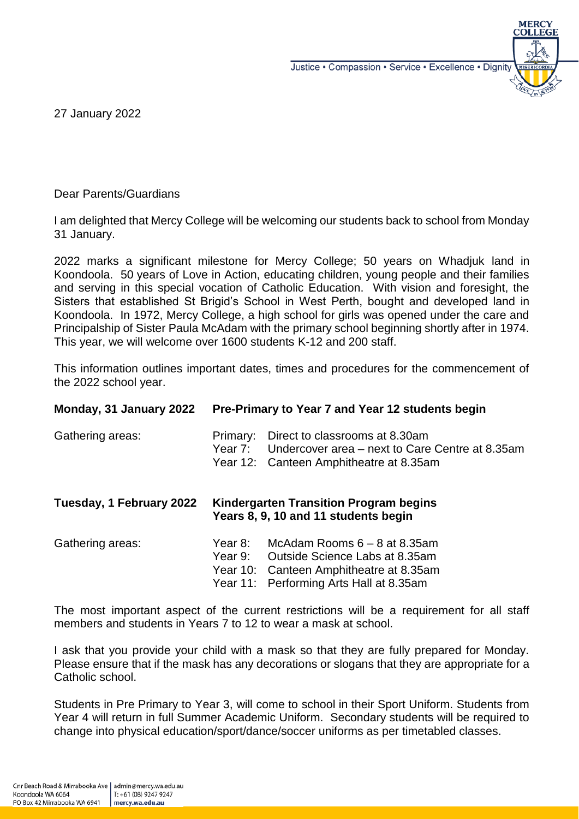Justice • Compassion • Service • Excellence • Dignity



27 January 2022

Dear Parents/Guardians

I am delighted that Mercy College will be welcoming our students back to school from Monday 31 January.

2022 marks a significant milestone for Mercy College; 50 years on Whadjuk land in Koondoola. 50 years of Love in Action, educating children, young people and their families and serving in this special vocation of Catholic Education. With vision and foresight, the Sisters that established St Brigid's School in West Perth, bought and developed land in Koondoola. In 1972, Mercy College, a high school for girls was opened under the care and Principalship of Sister Paula McAdam with the primary school beginning shortly after in 1974. This year, we will welcome over 1600 students K-12 and 200 staff.

This information outlines important dates, times and procedures for the commencement of the 2022 school year.

| Monday, 31 January 2022  | Pre-Primary to Year 7 and Year 12 students begin                               |                                                                                                                                                                |
|--------------------------|--------------------------------------------------------------------------------|----------------------------------------------------------------------------------------------------------------------------------------------------------------|
| Gathering areas:         | Primary:                                                                       | Direct to classrooms at 8.30am<br>Year 7: Undercover area – next to Care Centre at 8.35am<br>Year 12: Canteen Amphitheatre at 8.35am                           |
| Tuesday, 1 February 2022 | Kindergarten Transition Program begins<br>Years 8, 9, 10 and 11 students begin |                                                                                                                                                                |
| Gathering areas:         | Year 8:                                                                        | McAdam Rooms $6 - 8$ at 8.35am<br>Year 9: Outside Science Labs at 8.35am<br>Year 10: Canteen Amphitheatre at 8.35am<br>Year 11: Performing Arts Hall at 8.35am |

The most important aspect of the current restrictions will be a requirement for all staff members and students in Years 7 to 12 to wear a mask at school.

I ask that you provide your child with a mask so that they are fully prepared for Monday. Please ensure that if the mask has any decorations or slogans that they are appropriate for a Catholic school.

Students in Pre Primary to Year 3, will come to school in their Sport Uniform. Students from Year 4 will return in full Summer Academic Uniform. Secondary students will be required to change into physical education/sport/dance/soccer uniforms as per timetabled classes.